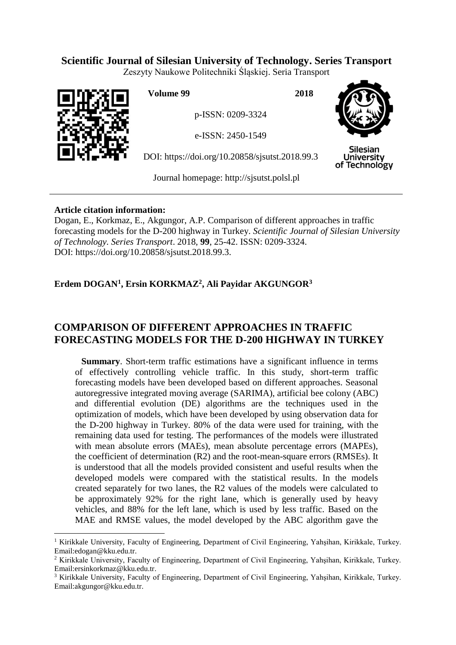# **Scientific Journal of Silesian University of Technology. Series Transport**

Zeszyty Naukowe Politechniki Śląskiej. Seria Transport



 $\overline{a}$ 

**Volume 99 2018**

p-ISSN: 0209-3324

e-ISSN: 2450-1549

DOI: https://doi.org/10.20858/sjsutst.2018.99.3



**Silesian University** of Technology

Journal homepage: [http://sjsutst.polsl.pl](http://sjsutst.polsl.pl/)

## **Article citation information:**

Dogan, E., Korkmaz, E., Akgungor, A.P. Comparison of different approaches in traffic forecasting models for the D-200 highway in Turkey. *Scientific Journal of Silesian University of Technology. Series Transport*. 2018, **99**, 25-42. ISSN: 0209-3324. DOI: https://doi.org/10.20858/sjsutst.2018.99.3.

# **Erdem DOGAN<sup>1</sup> , Ersin KORKMAZ<sup>2</sup> , Ali Payidar AKGUNGOR<sup>3</sup>**

# **COMPARISON OF DIFFERENT APPROACHES IN TRAFFIC FORECASTING MODELS FOR THE D-200 HIGHWAY IN TURKEY**

**Summary**. Short-term traffic estimations have a significant influence in terms of effectively controlling vehicle traffic. In this study, short-term traffic forecasting models have been developed based on different approaches. Seasonal autoregressive integrated moving average (SARIMA), artificial bee colony (ABC) and differential evolution (DE) algorithms are the techniques used in the optimization of models, which have been developed by using observation data for the D-200 highway in Turkey. 80% of the data were used for training, with the remaining data used for testing. The performances of the models were illustrated with mean absolute errors (MAEs), mean absolute percentage errors (MAPEs), the coefficient of determination (R2) and the root-mean-square errors (RMSEs). It is understood that all the models provided consistent and useful results when the developed models were compared with the statistical results. In the models created separately for two lanes, the R2 values of the models were calculated to be approximately 92% for the right lane, which is generally used by heavy vehicles, and 88% for the left lane, which is used by less traffic. Based on the MAE and RMSE values, the model developed by the ABC algorithm gave the

<sup>1</sup> Kirikkale University, Faculty of Engineering, Department of Civil Engineering, Yahşihan, Kirikkale, Turkey. Email:edogan@kku.edu.tr.

<sup>2</sup> Kirikkale University, Faculty of Engineering, Department of Civil Engineering, Yahşihan, Kirikkale, Turkey. Email:ersinkorkmaz@kku.edu.tr.

<sup>&</sup>lt;sup>3</sup> Kirikkale University, Faculty of Engineering, Department of Civil Engineering, Yahşihan, Kirikkale, Turkey. Email:akgungor@kku.edu.tr.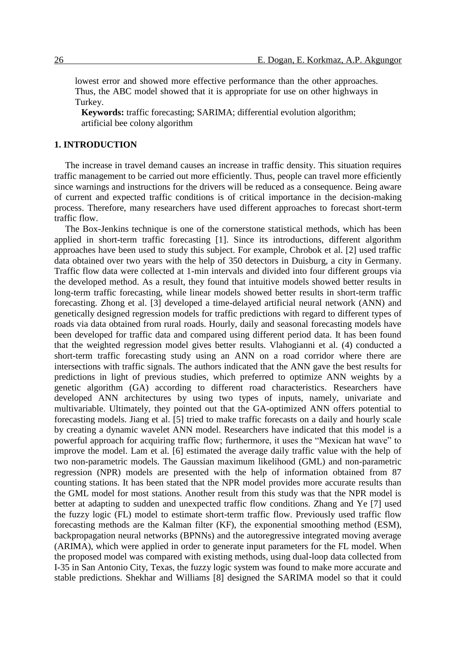lowest error and showed more effective performance than the other approaches. Thus, the ABC model showed that it is appropriate for use on other highways in Turkey.

**Keywords:** traffic forecasting; SARIMA; differential evolution algorithm; artificial bee colony algorithm

## **1. INTRODUCTION**

The increase in travel demand causes an increase in traffic density. This situation requires traffic management to be carried out more efficiently. Thus, people can travel more efficiently since warnings and instructions for the drivers will be reduced as a consequence. Being aware of current and expected traffic conditions is of critical importance in the decision-making process. Therefore, many researchers have used different approaches to forecast short-term traffic flow.

The Box-Jenkins technique is one of the cornerstone statistical methods, which has been applied in short-term traffic forecasting [1]. Since its introductions, different algorithm approaches have been used to study this subject. For example, Chrobok et al. [2] used traffic data obtained over two years with the help of 350 detectors in Duisburg, a city in Germany. Traffic flow data were collected at 1-min intervals and divided into four different groups via the developed method. As a result, they found that intuitive models showed better results in long-term traffic forecasting, while linear models showed better results in short-term traffic forecasting. Zhong et al. [3] developed a time-delayed artificial neural network (ANN) and genetically designed regression models for traffic predictions with regard to different types of roads via data obtained from rural roads. Hourly, daily and seasonal forecasting models have been developed for traffic data and compared using different period data. It has been found that the weighted regression model gives better results. Vlahogianni et al. (4) conducted a short-term traffic forecasting study using an ANN on a road corridor where there are intersections with traffic signals. The authors indicated that the ANN gave the best results for predictions in light of previous studies, which preferred to optimize ANN weights by a genetic algorithm (GA) according to different road characteristics. Researchers have developed ANN architectures by using two types of inputs, namely, univariate and multivariable. Ultimately, they pointed out that the GA-optimized ANN offers potential to forecasting models. Jiang et al. [5] tried to make traffic forecasts on a daily and hourly scale by creating a dynamic wavelet ANN model. Researchers have indicated that this model is a powerful approach for acquiring traffic flow; furthermore, it uses the "Mexican hat wave" to improve the model. Lam et al. [6] estimated the average daily traffic value with the help of two non-parametric models. The Gaussian maximum likelihood (GML) and non-parametric regression (NPR) models are presented with the help of information obtained from 87 counting stations. It has been stated that the NPR model provides more accurate results than the GML model for most stations. Another result from this study was that the NPR model is better at adapting to sudden and unexpected traffic flow conditions. Zhang and Ye [7] used the fuzzy logic (FL) model to estimate short-term traffic flow. Previously used traffic flow forecasting methods are the Kalman filter (KF), the exponential smoothing method (ESM), backpropagation neural networks (BPNNs) and the autoregressive integrated moving average (ARIMA), which were applied in order to generate input parameters for the FL model. When the proposed model was compared with existing methods, using dual-loop data collected from I-35 in San Antonio City, Texas, the fuzzy logic system was found to make more accurate and stable predictions. Shekhar and Williams [8] designed the SARIMA model so that it could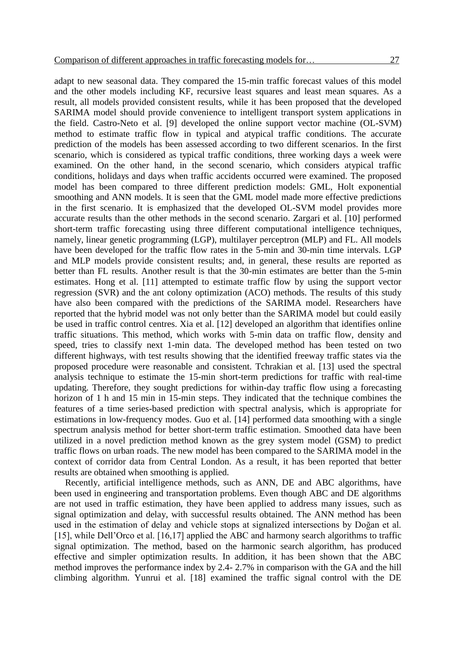adapt to new seasonal data. They compared the 15-min traffic forecast values of this model and the other models including KF, recursive least squares and least mean squares. As a result, all models provided consistent results, while it has been proposed that the developed SARIMA model should provide convenience to intelligent transport system applications in the field. Castro-Neto et al. [9] developed the online support vector machine (OL-SVM) method to estimate traffic flow in typical and atypical traffic conditions. The accurate prediction of the models has been assessed according to two different scenarios. In the first scenario, which is considered as typical traffic conditions, three working days a week were examined. On the other hand, in the second scenario, which considers atypical traffic conditions, holidays and days when traffic accidents occurred were examined. The proposed model has been compared to three different prediction models: GML, Holt exponential smoothing and ANN models. It is seen that the GML model made more effective predictions in the first scenario. It is emphasized that the developed OL-SVM model provides more accurate results than the other methods in the second scenario. Zargari et al. [10] performed short-term traffic forecasting using three different computational intelligence techniques, namely, linear genetic programming (LGP), multilayer perceptron (MLP) and FL. All models have been developed for the traffic flow rates in the 5-min and 30-min time intervals. LGP and MLP models provide consistent results; and, in general, these results are reported as better than FL results. Another result is that the 30-min estimates are better than the 5-min estimates. Hong et al. [11] attempted to estimate traffic flow by using the support vector regression (SVR) and the ant colony optimization (ACO) methods. The results of this study have also been compared with the predictions of the SARIMA model. Researchers have reported that the hybrid model was not only better than the SARIMA model but could easily be used in traffic control centres. Xia et al. [12] developed an algorithm that identifies online traffic situations. This method, which works with 5-min data on traffic flow, density and speed, tries to classify next 1-min data. The developed method has been tested on two different highways, with test results showing that the identified freeway traffic states via the proposed procedure were reasonable and consistent. Tchrakian et al. [13] used the spectral analysis technique to estimate the 15-min short-term predictions for traffic with real-time updating. Therefore, they sought predictions for within-day traffic flow using a forecasting horizon of 1 h and 15 min in 15-min steps. They indicated that the technique combines the features of a time series-based prediction with spectral analysis, which is appropriate for estimations in low-frequency modes. Guo et al. [14] performed data smoothing with a single spectrum analysis method for better short-term traffic estimation. Smoothed data have been utilized in a novel prediction method known as the grey system model (GSM) to predict traffic flows on urban roads. The new model has been compared to the SARIMA model in the context of corridor data from Central London. As a result, it has been reported that better results are obtained when smoothing is applied.

Recently, artificial intelligence methods, such as ANN, DE and ABC algorithms, have been used in engineering and transportation problems. Even though ABC and DE algorithms are not used in traffic estimation, they have been applied to address many issues, such as signal optimization and delay, with successful results obtained. The ANN method has been used in the estimation of delay and vehicle stops at signalized intersections by Doğan et al. [15], while Dell'Orco et al. [16,17] applied the ABC and harmony search algorithms to traffic signal optimization. The method, based on the harmonic search algorithm, has produced effective and simpler optimization results. In addition, it has been shown that the ABC method improves the performance index by 2.4- 2.7% in comparison with the GA and the hill climbing algorithm. Yunrui et al. [18] examined the traffic signal control with the DE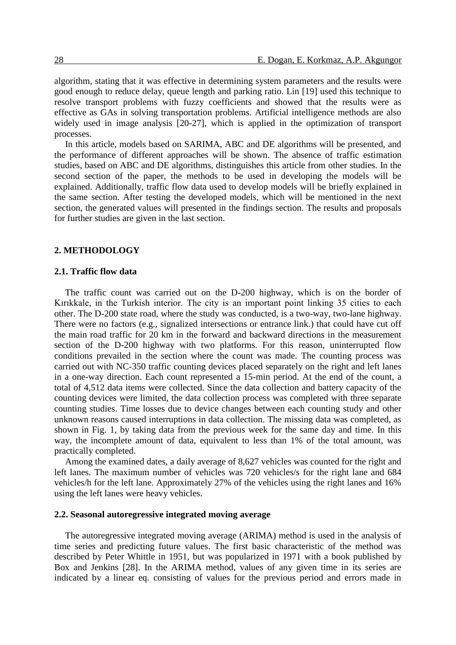algorithm, stating that it was effective in determining system parameters and the results were good enough to reduce delay, queue length and parking ratio. Lin [19] used this technique to resolve transport problems with fuzzy coefficients and showed that the results were as effective as GAs in solving transportation problems. Artificial intelligence methods are also widely used in image analysis [20-27], which is applied in the optimization of transport processes.

In this article, models based on SARIMA, ABC and DE algorithms will be presented, and the performance of different approaches will be shown. The absence of traffic estimation studies, based on ABC and DE algorithms, distinguishes this article from other studies. In the second section of the paper, the methods to be used in developing the models will be explained. Additionally, traffic flow data used to develop models will be briefly explained in the same section. After testing the developed models, which will be mentioned in the next section, the generated values will presented in the findings section. The results and proposals for further studies are given in the last section.

## **2. METHODOLOGY**

## **2.1. Traffic flow data**

The traffic count was carried out on the D-200 highway, which is on the border of Kırıkkale, in the Turkish interior. The city is an important point linking 35 cities to each other. The D-200 state road, where the study was conducted, is a two-way, two-lane highway. There were no factors (e.g., signalized intersections or entrance link.) that could have cut off the main road traffic for 20 km in the forward and backward directions in the measurement section of the D-200 highway with two platforms. For this reason, uninterrupted flow conditions prevailed in the section where the count was made. The counting process was carried out with NC-350 traffic counting devices placed separately on the right and left lanes in a one-way direction. Each count represented a 15-min period. At the end of the count, a total of 4,512 data items were collected. Since the data collection and battery capacity of the counting devices were limited, the data collection process was completed with three separate counting studies. Time losses due to device changes between each counting study and other unknown reasons caused interruptions in data collection. The missing data was completed, as shown in Fig. 1, by taking data from the previous week for the same day and time. In this way, the incomplete amount of data, equivalent to less than 1% of the total amount, was practically completed.

Among the examined dates, a daily average of 8,627 vehicles was counted for the right and left lanes. The maximum number of vehicles was 720 vehicles/s for the right lane and 684 vehicles/h for the left lane. Approximately 27% of the vehicles using the right lanes and 16% using the left lanes were heavy vehicles.

## **2.2. Seasonal autoregressive integrated moving average**

The autoregressive integrated moving average (ARIMA) method is used in the analysis of time series and predicting future values. The first basic characteristic of the method was described by Peter Whittle in 1951, but was popularized in 1971 with a book published by Box and Jenkins [28]. In the ARIMA method, values of any given time in its series are indicated by a linear eq. consisting of values for the previous period and errors made in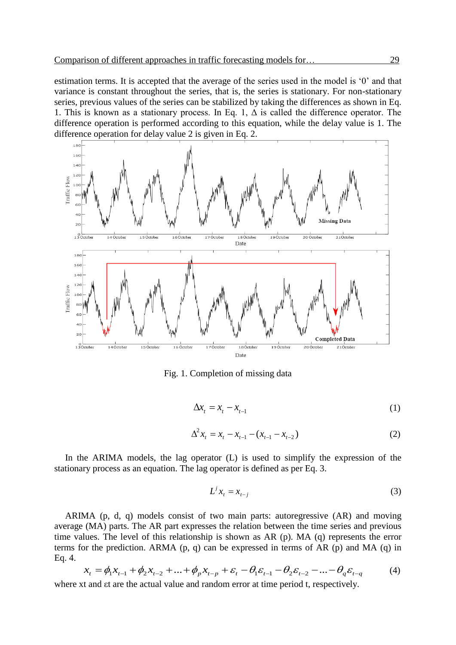estimation terms. It is accepted that the average of the series used in the model is '0' and that variance is constant throughout the series, that is, the series is stationary. For non-stationary series, previous values of the series can be stabilized by taking the differences as shown in Eq. 1. This is known as a stationary process. In Eq. 1,  $\Delta$  is called the difference operator. The difference operation is performed according to this equation, while the delay value is 1. The difference operation for delay value 2 is given in Eq. 2.



Fig. 1. Completion of missing data

$$
\Delta x_t = x_t - x_{t-1} \tag{1}
$$

$$
\Delta^2 x_t = x_t - x_{t-1} - (x_{t-1} - x_{t-2}) \tag{2}
$$

In the ARIMA models, the lag operator (L) is used to simplify the expression of the stationary process as an equation. The lag operator is defined as per Eq. 3.

$$
L^j x_t = x_{t-j} \tag{3}
$$

ARIMA (p, d, q) models consist of two main parts: autoregressive (AR) and moving average (MA) parts. The AR part expresses the relation between the time series and previous time values. The level of this relationship is shown as AR (p). MA (q) represents the error terms for the prediction. ARMA (p, q) can be expressed in terms of AR (p) and MA (q) in Eq. 4.

$$
x_{t} = \phi_{1}x_{t-1} + \phi_{2}x_{t-2} + \dots + \phi_{p}x_{t-p} + \varepsilon_{t} - \theta_{1}\varepsilon_{t-1} - \theta_{2}\varepsilon_{t-2} - \dots - \theta_{q}\varepsilon_{t-q}
$$
(4)

where xt and  $\epsilon t$  are the actual value and random error at time period t, respectively.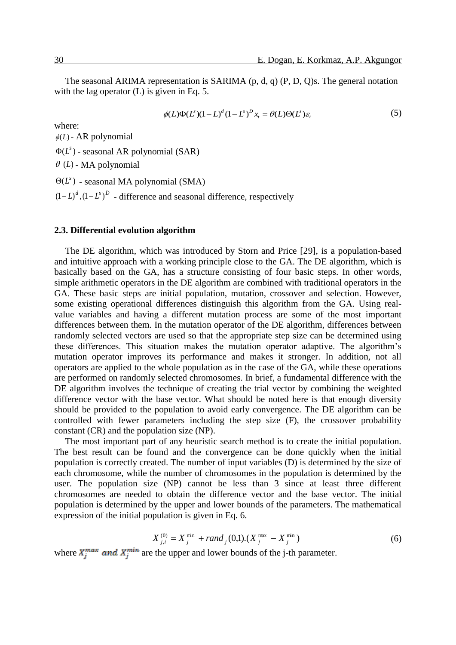The seasonal ARIMA representation is SARIMA (p, d, q) (P, D, Q)s. The general notation with the lag operator (L) is given in Eq. 5.

$$
\phi(L)\Phi(L^s)(1-L)^d(1-L^s)^D x_t = \theta(L)\Theta(L^s)\varepsilon_t
$$
\n(5)

where:

 $\phi(L)$  - AR polynomial

 $\Phi(L^s)$  - seasonal AR polynomial (SAR)

 $\theta$  (*L*) - MA polynomial

 $\Theta(L^s)$  - seasonal MA polynomial (SMA)

 $(D-L)^d$ ,  $(D-L^s)^D$  - difference and seasonal difference, respectively

## **2.3. Differential evolution algorithm**

The DE algorithm, which was introduced by Storn and Price [29], is a population-based and intuitive approach with a working principle close to the GA. The DE algorithm, which is basically based on the GA, has a structure consisting of four basic steps. In other words, simple arithmetic operators in the DE algorithm are combined with traditional operators in the GA. These basic steps are initial population, mutation, crossover and selection. However, some existing operational differences distinguish this algorithm from the GA. Using realvalue variables and having a different mutation process are some of the most important differences between them. In the mutation operator of the DE algorithm, differences between randomly selected vectors are used so that the appropriate step size can be determined using these differences. This situation makes the mutation operator adaptive. The algorithm's mutation operator improves its performance and makes it stronger. In addition, not all operators are applied to the whole population as in the case of the GA, while these operations are performed on randomly selected chromosomes. In brief, a fundamental difference with the DE algorithm involves the technique of creating the trial vector by combining the weighted difference vector with the base vector. What should be noted here is that enough diversity should be provided to the population to avoid early convergence. The DE algorithm can be controlled with fewer parameters including the step size (F), the crossover probability constant (CR) and the population size (NP).

The most important part of any heuristic search method is to create the initial population. The best result can be found and the convergence can be done quickly when the initial population is correctly created. The number of input variables (D) is determined by the size of each chromosome, while the number of chromosomes in the population is determined by the user. The population size (NP) cannot be less than 3 since at least three different chromosomes are needed to obtain the difference vector and the base vector. The initial population is determined by the upper and lower bounds of the parameters. The mathematical expression of the initial population is given in Eq. 6.

$$
X_{j,i}^{(0)} = X_j^{\min} + rand_j(0,1) \cdot (X_j^{\max} - X_j^{\min})
$$
 (6)

where  $X_i^{max}$  and  $X_i^{min}$  are the upper and lower bounds of the j-th parameter.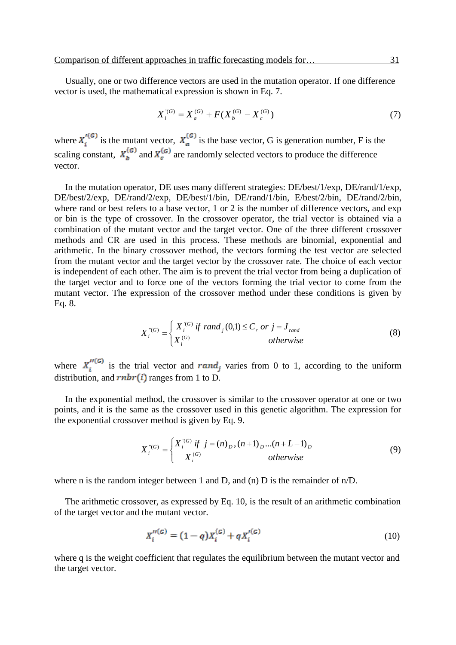Usually, one or two difference vectors are used in the mutation operator. If one difference vector is used, the mathematical expression is shown in Eq. 7.

$$
X_i^{(G)} = X_a^{(G)} + F(X_b^{(G)} - X_c^{(G)})
$$
\n(7)

where  $X_i^{(0)}$  is the mutant vector,  $X_a^{(0)}$  is the base vector, G is generation number, F is the scaling constant,  $X_b^{(G)}$  and  $X_c^{(G)}$  are randomly selected vectors to produce the difference vector.

In the mutation operator, DE uses many different strategies: DE/best/1/exp, DE/rand/1/exp, DE/best/2/exp, DE/rand/2/exp, DE/best/1/bin, DE/rand/1/bin, E/best/2/bin, DE/rand/2/bin, where rand or best refers to a base vector, 1 or 2 is the number of difference vectors, and  $\exp$ or bin is the type of crossover. In the crossover operator, the trial vector is obtained via a combination of the mutant vector and the target vector. One of the three different crossover methods and CR are used in this process. These methods are binomial, exponential and arithmetic. In the binary crossover method, the vectors forming the test vector are selected from the mutant vector and the target vector by the crossover rate. The choice of each vector is independent of each other. The aim is to prevent the trial vector from being a duplication of the target vector and to force one of the vectors forming the trial vector to come from the mutant vector. The expression of the crossover method under these conditions is given by Eq. 8.

$$
X_i^{"(G)} = \begin{cases} X_i^{'(G)} \text{ if } rand_j(0,1) \le C_r \text{ or } j = J_{rand} \\ X_i^{(G)} \text{ otherwise} \end{cases}
$$
 (8)

where  $X_i''^{(G)}$  is the trial vector and rand, varies from 0 to 1, according to the uniform distribution, and  $rnbr(i)$  ranges from 1 to D.

In the exponential method, the crossover is similar to the crossover operator at one or two points, and it is the same as the crossover used in this genetic algorithm. The expression for the exponential crossover method is given by Eq. 9.

$$
X_i^{"(G)} = \begin{cases} X_i^{'(G)} \text{ if } j = (n)_D, (n+1)_D... (n+L-1)_D \\ X_i^{(G)} & otherwise \end{cases}
$$
(9)

where n is the random integer between 1 and D, and (n) D is the remainder of n/D.

The arithmetic crossover, as expressed by Eq. 10, is the result of an arithmetic combination of the target vector and the mutant vector.

$$
X_i''^{(G)} = (1 - q)X_i^{(G)} + qX_i'^{(G)}
$$
\n(10)

where q is the weight coefficient that regulates the equilibrium between the mutant vector and the target vector.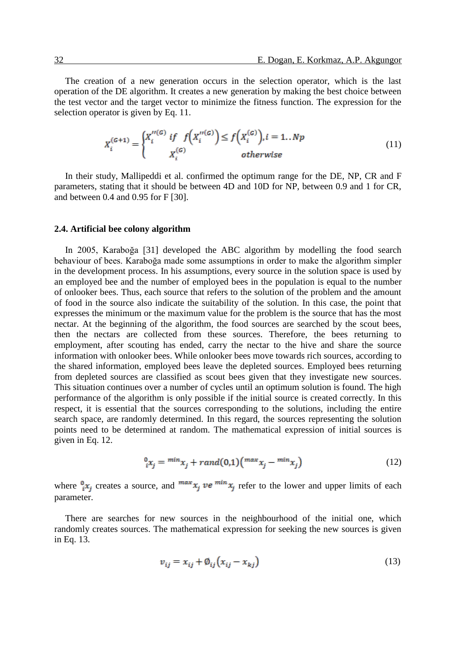The creation of a new generation occurs in the selection operator, which is the last operation of the DE algorithm. It creates a new generation by making the best choice between the test vector and the target vector to minimize the fitness function. The expression for the selection operator is given by Eq. 11.

$$
X_i^{(G+1)} = \begin{cases} X_i''^{(G)} & \text{if } f\left(X_i''^{(G)}\right) \le f\left(X_i^{(G)}\right), i = 1..Np\\ X_i^{(G)} & \text{otherwise} \end{cases} \tag{11}
$$

In their study, Mallipeddi et al. confirmed the optimum range for the DE, NP, CR and F parameters, stating that it should be between 4D and 10D for NP, between 0.9 and 1 for CR, and between 0.4 and 0.95 for F [30].

#### **2.4. Artificial bee colony algorithm**

In 2005, Karaboğa [31] developed the ABC algorithm by modelling the food search behaviour of bees. Karaboğa made some assumptions in order to make the algorithm simpler in the development process. In his assumptions, every source in the solution space is used by an employed bee and the number of employed bees in the population is equal to the number of onlooker bees. Thus, each source that refers to the solution of the problem and the amount of food in the source also indicate the suitability of the solution. In this case, the point that expresses the minimum or the maximum value for the problem is the source that has the most nectar. At the beginning of the algorithm, the food sources are searched by the scout bees, then the nectars are collected from these sources. Therefore, the bees returning to employment, after scouting has ended, carry the nectar to the hive and share the source information with onlooker bees. While onlooker bees move towards rich sources, according to the shared information, employed bees leave the depleted sources. Employed bees returning from depleted sources are classified as scout bees given that they investigate new sources. This situation continues over a number of cycles until an optimum solution is found. The high performance of the algorithm is only possible if the initial source is created correctly. In this respect, it is essential that the sources corresponding to the solutions, including the entire search space, are randomly determined. In this regard, the sources representing the solution points need to be determined at random. The mathematical expression of initial sources is given in Eq. 12.

$$
{}^{0}_{i}x_{j} = {}^{min}x_{j} + rand(0,1) \left( {}^{max}x_{j} - {}^{min}x_{j} \right)
$$
 (12)

where  $\frac{0}{i}x_j$  creates a source, and  $\frac{max}{x_j}$  ve  $\frac{min}{x_j}$  refer to the lower and upper limits of each parameter.

There are searches for new sources in the neighbourhood of the initial one, which randomly creates sources. The mathematical expression for seeking the new sources is given in Eq. 13.

$$
v_{ij} = x_{ij} + \phi_{ij} \left( x_{ij} - x_{kj} \right) \tag{13}
$$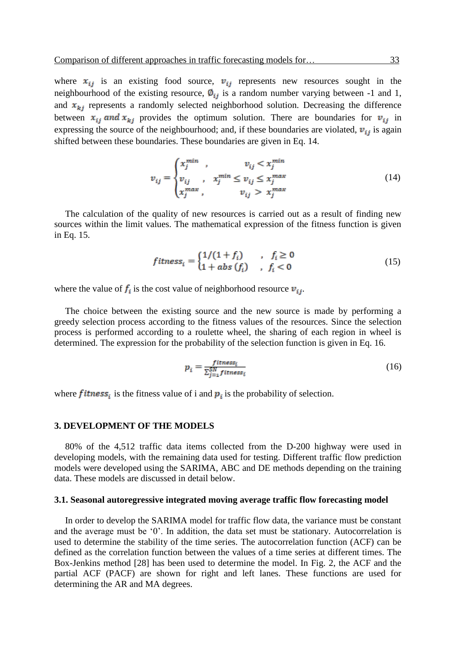where  $x_{ii}$  is an existing food source,  $v_{ii}$  represents new resources sought in the neighbourhood of the existing resource,  $\phi_{ij}$  is a random number varying between -1 and 1, and  $x_{ki}$  represents a randomly selected neighborhood solution. Decreasing the difference between  $x_{ij}$  and  $x_{kj}$  provides the optimum solution. There are boundaries for  $v_{ij}$  in expressing the source of the neighbourhood; and, if these boundaries are violated,  $v_{ij}$  is again shifted between these boundaries. These boundaries are given in Eq. 14.

$$
v_{ij} = \begin{cases} x_j^{min} & v_{ij} < x_j^{min} \\ v_{ij} & v_j^{min} \le v_{ij} \le x_j^{max} \\ x_j^{max} & v_{ij} > x_j^{max} \end{cases} \tag{14}
$$

The calculation of the quality of new resources is carried out as a result of finding new sources within the limit values. The mathematical expression of the fitness function is given in Eq. 15.

$$
fitness_i = \begin{cases} 1/(1+f_i) & , f_i \ge 0 \\ 1 + abs(f_i) & , f_i < 0 \end{cases}
$$
(15)

where the value of  $f_i$  is the cost value of neighborhood resource  $v_{ij}$ .

The choice between the existing source and the new source is made by performing a greedy selection process according to the fitness values of the resources. Since the selection process is performed according to a roulette wheel, the sharing of each region in wheel is determined. The expression for the probability of the selection function is given in Eq. 16.

$$
p_i = \frac{fitness_i}{\sum_{j=1}^{SN} fitness_i}
$$
 (16)

where **fitness**<sub>i</sub> is the fitness value of i and  $p_i$  is the probability of selection.

## **3. DEVELOPMENT OF THE MODELS**

80% of the 4,512 traffic data items collected from the D-200 highway were used in developing models, with the remaining data used for testing. Different traffic flow prediction models were developed using the SARIMA, ABC and DE methods depending on the training data. These models are discussed in detail below.

#### **3.1. Seasonal autoregressive integrated moving average traffic flow forecasting model**

In order to develop the SARIMA model for traffic flow data, the variance must be constant and the average must be '0'. In addition, the data set must be stationary. Autocorrelation is used to determine the stability of the time series. The autocorrelation function (ACF) can be defined as the correlation function between the values of a time series at different times. The Box-Jenkins method [28] has been used to determine the model. In Fig. 2, the ACF and the partial ACF (PACF) are shown for right and left lanes. These functions are used for determining the AR and MA degrees.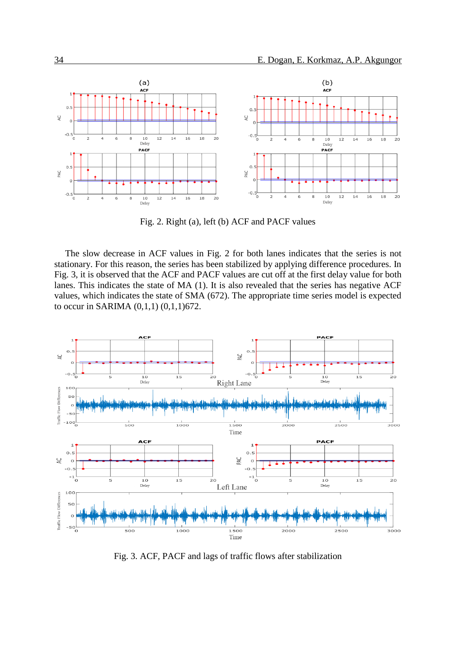

Fig. 2. Right (a), left (b) ACF and PACF values

The slow decrease in ACF values in Fig. 2 for both lanes indicates that the series is not stationary. For this reason, the series has been stabilized by applying difference procedures. In Fig. 3, it is observed that the ACF and PACF values are cut off at the first delay value for both lanes. This indicates the state of MA (1). It is also revealed that the series has negative ACF values, which indicates the state of SMA (672). The appropriate time series model is expected to occur in SARIMA (0,1,1) (0,1,1)672.



Fig. 3. ACF, PACF and lags of traffic flows after stabilization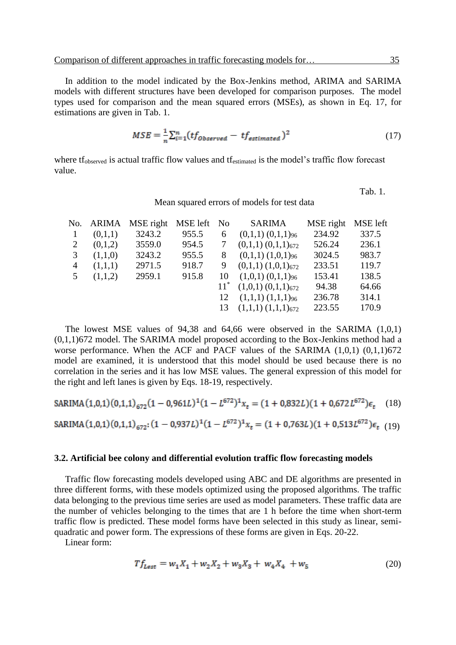In addition to the model indicated by the Box-Jenkins method, ARIMA and SARIMA models with different structures have been developed for comparison purposes. The model types used for comparison and the mean squared errors (MSEs), as shown in Eq. 17, for estimations are given in Tab. 1.

$$
MSE = \frac{1}{n} \sum_{i=1}^{n} (tf_{Observed} - tf_{estimated})^2
$$
 (17)

where tf<sub>observed</sub> is actual traffic flow values and tf<sub>estimated</sub> is the model's traffic flow forecast value.

Tab. 1.

Mean squared errors of models for test data

|              |         | No. ARIMA MSE right | MSE left | No     | <b>SARIMA</b>                      | MSE right | <b>MSE</b> left |
|--------------|---------|---------------------|----------|--------|------------------------------------|-----------|-----------------|
| $\mathbf{1}$ | (0,1,1) | 3243.2              | 955.5    | 6      | $(0,1,1)$ $(0,1,1)$ <sub>96</sub>  | 234.92    | 337.5           |
| 2            | (0,1,2) | 3559.0              | 954.5    |        | $(0,1,1)$ $(0,1,1)$ <sub>672</sub> | 526.24    | 236.1           |
| 3            | (1,1,0) | 3243.2              | 955.5    | 8      | $(0,1,1)$ $(1,0,1)_{96}$           | 3024.5    | 983.7           |
| 4            | (1,1,1) | 2971.5              | 918.7    | 9      | $(0,1,1)$ $(1,0,1)_{672}$          | 233.51    | 119.7           |
| 5            | (1,1,2) | 2959.1              | 915.8    | 10     | $(1,0,1)$ $(0,1,1)$ <sub>96</sub>  | 153.41    | 138.5           |
|              |         |                     |          | $11^*$ | $(1,0,1)$ $(0,1,1)$ <sub>672</sub> | 94.38     | 64.66           |
|              |         |                     |          | 12     | $(1,1,1)$ $(1,1,1)$ <sup>96</sup>  | 236.78    | 314.1           |
|              |         |                     |          |        | 13 $(1,1,1)$ $(1,1,1)$ $(672)$     | 223.55    | 170.9           |
|              |         |                     |          |        |                                    |           |                 |

The lowest MSE values of 94,38 and 64,66 were observed in the SARIMA  $(1,0,1)$ (0,1,1)672 model. The SARIMA model proposed according to the Box-Jenkins method had a worse performance. When the ACF and PACF values of the SARIMA (1,0,1) (0,1,1)672 model are examined, it is understood that this model should be used because there is no correlation in the series and it has low MSE values. The general expression of this model for the right and left lanes is given by Eqs. 18-19, respectively.

SARIMA (1,0,1) (0,1,1)<sub>672</sub> (1 – 0,961L)<sup>1</sup>(1 – 
$$
L^{672}
$$
)<sup>1</sup> $x_t$  = (1 + 0,832L)(1 + 0,672 $L^{672}$ ) $\epsilon_t$  (18)  
SARIMA (1,0,1) (0,1,1)<sub>672</sub>: (1 – 0,937L)<sup>1</sup>(1 –  $L^{672}$ )<sup>1</sup> $x_t$  = (1 + 0,763L)(1 + 0,513 $L^{672}$ ) $\epsilon_t$  (19)

#### **3.2. Artificial bee colony and differential evolution traffic flow forecasting models**

Traffic flow forecasting models developed using ABC and DE algorithms are presented in three different forms, with these models optimized using the proposed algorithms. The traffic data belonging to the previous time series are used as model parameters. These traffic data are the number of vehicles belonging to the times that are 1 h before the time when short-term traffic flow is predicted. These model forms have been selected in this study as linear, semiquadratic and power form. The expressions of these forms are given in Eqs. 20-22.

Linear form:

$$
Tf_{\text{Løst}} = w_1 X_1 + w_2 X_2 + w_3 X_3 + w_4 X_4 + w_5 \tag{20}
$$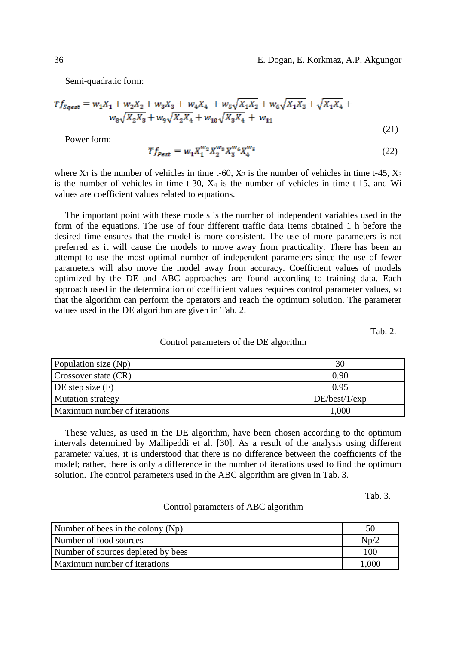Semi-quadratic form:

$$
Tf_{Sqest} = w_1 X_1 + w_2 X_2 + w_3 X_3 + w_4 X_4 + w_5 \sqrt{X_1 X_2} + w_6 \sqrt{X_1 X_3} + \sqrt{X_1 X_4} + w_8 \sqrt{X_2 X_3} + w_9 \sqrt{X_2 X_4} + w_{10} \sqrt{X_3 X_4} + w_{11}
$$
\n(21)

Power form:

$$
Tf_{\text{Pest}} = w_1 X_1^{w_2} X_2^{w_3} X_3^{w_4} X_4^{w_5} \tag{22}
$$

where  $X_1$  is the number of vehicles in time t-60,  $X_2$  is the number of vehicles in time t-45,  $X_3$ is the number of vehicles in time t-30,  $X_4$  is the number of vehicles in time t-15, and Wi values are coefficient values related to equations.

The important point with these models is the number of independent variables used in the form of the equations. The use of four different traffic data items obtained 1 h before the desired time ensures that the model is more consistent. The use of more parameters is not preferred as it will cause the models to move away from practicality. There has been an attempt to use the most optimal number of independent parameters since the use of fewer parameters will also move the model away from accuracy. Coefficient values of models optimized by the DE and ABC approaches are found according to training data. Each approach used in the determination of coefficient values requires control parameter values, so that the algorithm can perform the operators and reach the optimum solution. The parameter values used in the DE algorithm are given in Tab. 2.

Tab. 2.

#### Control parameters of the DE algorithm

| Population size (Np)         | 30            |
|------------------------------|---------------|
| Crossover state (CR)         | 0.90          |
| DE step size $(F)$           | 0.95          |
| <b>Mutation strategy</b>     | DE/best/1/exp |
| Maximum number of iterations | 1.000         |

These values, as used in the DE algorithm, have been chosen according to the optimum intervals determined by Mallipeddi et al. [30]. As a result of the analysis using different parameter values, it is understood that there is no difference between the coefficients of the model; rather, there is only a difference in the number of iterations used to find the optimum solution. The control parameters used in the ABC algorithm are given in Tab. 3.

Tab. 3.

## Control parameters of ABC algorithm

| Number of bees in the colony (Np)  |       |
|------------------------------------|-------|
| Number of food sources             | Np/2  |
| Number of sources depleted by bees | 100   |
| Maximum number of iterations       | 000.l |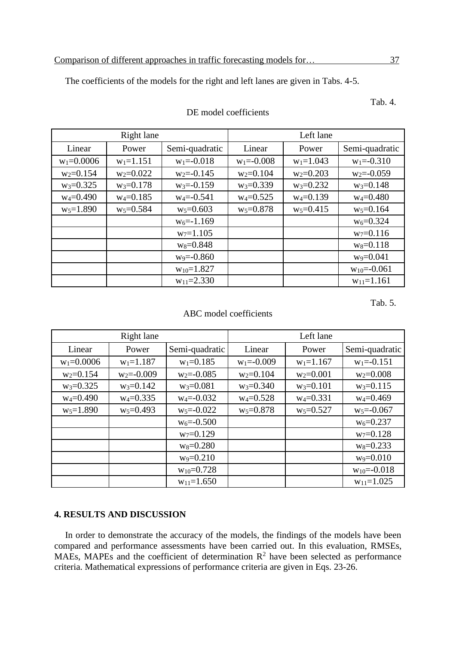The coefficients of the models for the right and left lanes are given in Tabs. 4-5.

Right lane Left lane Linear | Power | Semi-quadratic | Linear | Power | Semi-quadratic  $w_1=0.0006$  |  $w_1=1.151$  |  $w_1=-0.018$  |  $w_1=-0.008$  |  $w_1=1.043$  |  $w_1=-0.310$  $w_2=0.154$  w<sub>2</sub>=0.022 w<sub>2</sub>=0.145 w<sub>2</sub>=0.104 w<sub>2</sub>=0.203 w<sub>2</sub>=0.059 w<sub>3</sub>=0.325 | w<sub>3</sub>=0.178 | w<sub>3</sub>=-0.159 | w<sub>3</sub>=0.339 | w<sub>3</sub>=0.232 | w<sub>3</sub>=0.148  $w_4=0.490$  w<sub>4</sub>=0.185 w<sub>4</sub>=0.541 w<sub>4</sub>=0.525 w<sub>4</sub>=0.139 w<sub>4</sub>=0.480 w<sub>5</sub>=1.890 | w<sub>5</sub>=0.584 | w<sub>5</sub>=0.603 | w<sub>5</sub>=0.878 | w<sub>5</sub>=0.415 | w<sub>5</sub>=0.164  $w_6 = -1.169$  w<sub>6</sub>=0.324  $w_7=1.105$   $w_7=0.116$  $w_8=0.848$  w<sub>8</sub>=0.118  $w_9 = -0.860$  w<sub>9</sub>=0.041  $w_{10}=1.827$  w<sub>10</sub>=-0.061  $w_{11}=2.330$  w<sub>11</sub>=1.161

## Tab. 4. DE model coefficients

Tab. 5.

## ABC model coefficients

|                | Right lane              |                  | Left lane      |               |                   |  |  |
|----------------|-------------------------|------------------|----------------|---------------|-------------------|--|--|
| Linear         | Semi-quadratic<br>Power |                  | Linear         | Power         | Semi-quadratic    |  |  |
| $w_1 = 0.0006$ | $w_1 = 1.187$           | $w_1 = 0.185$    | $w_1 = -0.009$ | $w_1 = 1.167$ | $w_1 = -0.151$    |  |  |
| $w_2 = 0.154$  | $w_2 = -0.009$          | $w_2 = -0.085$   | $w_2 = 0.104$  | $w_2 = 0.001$ | $w_2 = 0.008$     |  |  |
| $w_3 = 0.325$  | $w_3 = 0.142$           | $w_3 = 0.081$    | $w_3 = 0.340$  | $w_3 = 0.101$ | $w_3 = 0.115$     |  |  |
| $w_4 = 0.490$  | $w_4 = 0.335$           | $w_4 = -0.032$   | $w_4 = 0.528$  | $w_4 = 0.331$ | $w_4 = 0.469$     |  |  |
| $w_5 = 1.890$  | $w_5 = 0.493$           | $w_5 = -0.022$   | $w_5 = 0.878$  | $w_5 = 0.527$ | $w_5 = -0.067$    |  |  |
|                |                         | $w_6 = -0.500$   |                |               | $w_6 = 0.237$     |  |  |
|                |                         | $w_7 = 0.129$    |                |               | $w_7 = 0.128$     |  |  |
|                |                         | $w_8 = 0.280$    |                |               | $w_8 = 0.233$     |  |  |
|                |                         | $w_9 = 0.210$    |                |               | $w_9 = 0.010$     |  |  |
|                |                         | $w_{10} = 0.728$ |                |               | $w_{10} = -0.018$ |  |  |
|                |                         | $w_{11}=1.650$   |                |               | $w_{11}=1.025$    |  |  |

## **4. RESULTS AND DISCUSSION**

In order to demonstrate the accuracy of the models, the findings of the models have been compared and performance assessments have been carried out. In this evaluation, RMSEs, MAEs, MAPEs and the coefficient of determination  $\mathbb{R}^2$  have been selected as performance criteria. Mathematical expressions of performance criteria are given in Eqs. 23-26.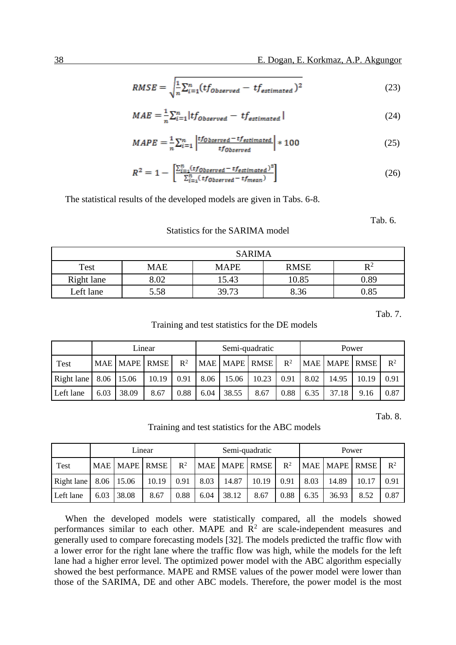$$
RMSE = \sqrt{\frac{1}{n} \sum_{i=1}^{n} (tf_{Observed} - tf_{estimated})^2}
$$
 (23)

$$
MAE = \frac{1}{n} \sum_{i=1}^{n} \left| tf_{Observed} - tf_{estimated} \right| \tag{24}
$$

$$
MAPE = \frac{1}{n} \sum_{i=1}^{n} \left| \frac{tf_{Observed} - tf_{estimated}}{tf_{Observed}} \right| * 100
$$
 (25)

$$
R^{2} = 1 - \left[ \frac{\sum_{i=1}^{n} (tf_{Observed} - tf_{estimated})^{2}}{\sum_{i=1}^{n} (tf_{Observed} - tf_{mean})} \right]
$$
 (26)

The statistical results of the developed models are given in Tabs. 6-8.

Tab. 6.

## Statistics for the SARIMA model

|            | <b>SARIMA</b> |             |             |                |  |  |  |  |  |  |  |
|------------|---------------|-------------|-------------|----------------|--|--|--|--|--|--|--|
| Test       | MAE           | <b>MAPE</b> | <b>RMSE</b> | $\mathbf{D}^2$ |  |  |  |  |  |  |  |
| Right lane | 8.02          | 15.43       | 10.85       | 0.89           |  |  |  |  |  |  |  |
| Left lane  | 5.58          | 39.73       | 8.36        | 0.85           |  |  |  |  |  |  |  |

Tab. 7.

## Training and test statistics for the DE models

|             | Linear     |                  |       |       |      |       | Semi-quadratic |       | Power |               |       |       |
|-------------|------------|------------------|-------|-------|------|-------|----------------|-------|-------|---------------|-------|-------|
| <b>Test</b> | <b>MAE</b> | <b>MAPE</b> RMSE |       | $R^2$ |      |       | MAE MAPE RMSE  | $R^2$ |       | MAE MAPE RMSE |       | $R^2$ |
| Right lane  | 8.06       | 15.06            | 10.19 | 0.91  | 8.06 | 15.06 | 10.23          | 0.91  | 8.02  | 14.95         | 10.19 | 0.91  |
| Left lane   | 6.03       | 38.09            | 8.67  | 0.88  | 6.04 | 38.55 | 8.67           | 0.88  | 6.35  | 37.18         | 9.16  | 0.87  |

Tab. 8.

Training and test statistics for the ABC models

|            | Linear     |               |       |                |      |               | Semi-quadratic |       | Power |               |       |       |
|------------|------------|---------------|-------|----------------|------|---------------|----------------|-------|-------|---------------|-------|-------|
| Test       |            | MAE MAPE RMSE |       | $\mathbb{R}^2$ |      | MAE MAPE RMSE |                | $R^2$ |       | MAE MAPE RMSE |       | $R^2$ |
| Right lane | 8.06 15.06 |               | 10.19 | 0.91           | 8.03 | 14.87         | 10.19          | 0.91  | 8.03  | 14.89         | 10.17 | 0.91  |
| Left lane  | 6.03       | 38.08         | 8.67  | 0.88           | 6.04 | 38.12         | 8.67           | 0.88  | 6.35  | 36.93         | 8.52  | 0.87  |

When the developed models were statistically compared, all the models showed performances similar to each other. MAPE and  $R<sup>2</sup>$  are scale-independent measures and generally used to compare forecasting models [32]. The models predicted the traffic flow with a lower error for the right lane where the traffic flow was high, while the models for the left lane had a higher error level. The optimized power model with the ABC algorithm especially showed the best performance. MAPE and RMSE values of the power model were lower than those of the SARIMA, DE and other ABC models. Therefore, the power model is the most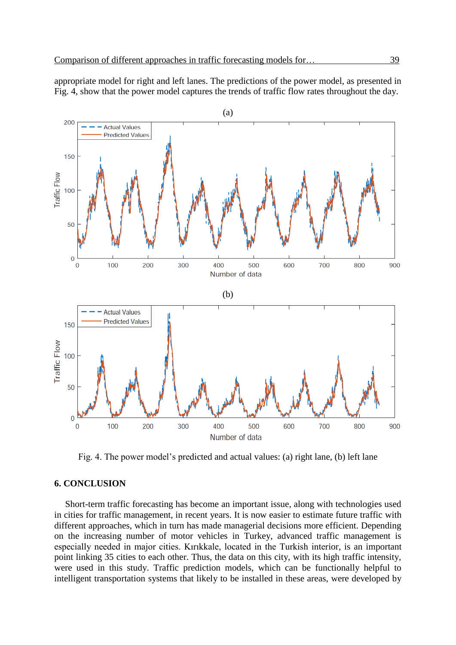appropriate model for right and left lanes. The predictions of the power model, as presented in Fig. 4, show that the power model captures the trends of traffic flow rates throughout the day.



Fig. 4. The power model's predicted and actual values: (a) right lane, (b) left lane

## **6. CONCLUSION**

Short-term traffic forecasting has become an important issue, along with technologies used in cities for traffic management, in recent years. It is now easier to estimate future traffic with different approaches, which in turn has made managerial decisions more efficient. Depending on the increasing number of motor vehicles in Turkey, advanced traffic management is especially needed in major cities. Kırıkkale, located in the Turkish interior, is an important point linking 35 cities to each other. Thus, the data on this city, with its high traffic intensity, were used in this study. Traffic prediction models, which can be functionally helpful to intelligent transportation systems that likely to be installed in these areas, were developed by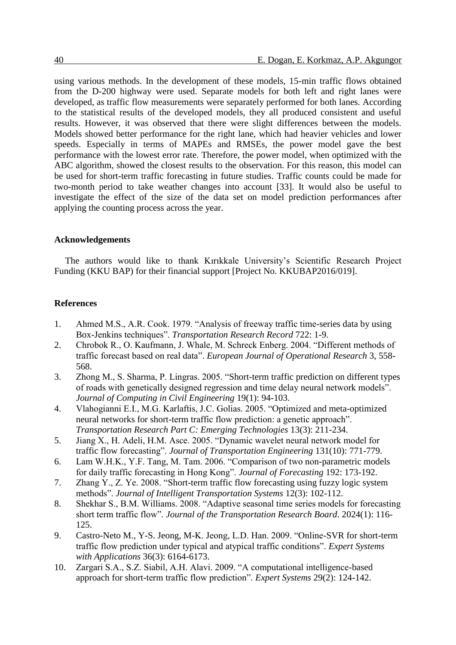using various methods. In the development of these models, 15-min traffic flows obtained from the D-200 highway were used. Separate models for both left and right lanes were developed, as traffic flow measurements were separately performed for both lanes. According to the statistical results of the developed models, they all produced consistent and useful results. However, it was observed that there were slight differences between the models. Models showed better performance for the right lane, which had heavier vehicles and lower speeds. Especially in terms of MAPEs and RMSEs, the power model gave the best performance with the lowest error rate. Therefore, the power model, when optimized with the ABC algorithm, showed the closest results to the observation. For this reason, this model can be used for short-term traffic forecasting in future studies. Traffic counts could be made for two-month period to take weather changes into account [33]. It would also be useful to investigate the effect of the size of the data set on model prediction performances after applying the counting process across the year.

## **Acknowledgements**

The authors would like to thank Kırıkkale University's Scientific Research Project Funding (KKU BAP) for their financial support [Project No. KKUBAP2016/019].

#### **References**

- 1. Ahmed M.S., A.R. Cook. 1979. "Analysis of freeway traffic time-series data by using Box-Jenkins techniques". *Transportation Research Record* 722: 1-9.
- 2. Chrobok R., O. Kaufmann, J. Whale, M. Schreck Enberg. 2004. "Different methods of traffic forecast based on real data". *European Journal of Operational Research* 3, 558- 568.
- 3. Zhong M., S. Sharma, P. Lingras. 2005. "Short-term traffic prediction on different types of roads with genetically designed regression and time delay neural network models". *Journal of Computing in Civil Engineering* 19(1): 94-103.
- 4. Vlahogianni E.I., M.G. Karlaftis, J.C. Golias. 2005. "Optimized and meta-optimized neural networks for short-term traffic flow prediction: a genetic approach". *Transportation Research Part C: Emerging Technologies* 13(3): 211-234.
- 5. Jiang X., H. Adeli, H.M. Asce. 2005. "Dynamic wavelet neural network model for traffic flow forecasting". *Journal of Transportation Engineering* 131(10): 771-779.
- 6. Lam W.H.K., Y.F. Tang, M. Tam. 2006. "Comparison of two non-parametric models for daily traffic forecasting in Hong Kong". *Journal of Forecasting* 192: 173-192.
- 7. Zhang Y., Z. Ye. 2008. "Short-term traffic flow forecasting using fuzzy logic system methods". *Journal of Intelligent Transportation Systems* 12(3): 102-112.
- 8. Shekhar S., B.M. Williams. 2008. "Adaptive seasonal time series models for forecasting short term traffic flow". *Journal of the Transportation Research Board*. 2024(1): 116- 125.
- 9. Castro-Neto M., Y-S. Jeong, M-K. Jeong, L.D. Han. 2009. "Online-SVR for short-term traffic flow prediction under typical and atypical traffic conditions". *Expert Systems with Applications* 36(3): 6164-6173.
- 10. Zargari S.A., S.Z. Siabil, A.H. Alavi. 2009. "A computational intelligence-based approach for short-term traffic flow prediction". *Expert Systems* 29(2): 124-142.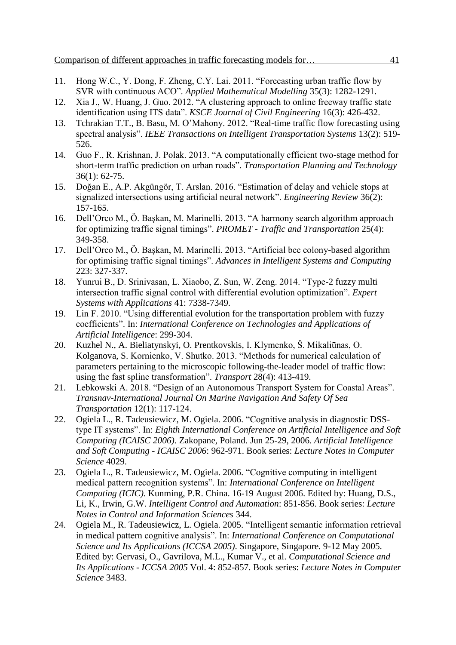- 11. Hong W.C., Y. Dong, F. Zheng, C.Y. Lai. 2011. "Forecasting urban traffic flow by SVR with continuous ACO". *Applied Mathematical Modelling* 35(3): 1282-1291.
- 12. Xia J., W. Huang, J. Guo. 2012. "A clustering approach to online freeway traffic state identification using ITS data". *KSCE Journal of Civil Engineering* 16(3): 426-432.
- 13. Tchrakian T.T., B. Basu, M. O'Mahony. 2012. "Real-time traffic flow forecasting using spectral analysis". *IEEE Transactions on Intelligent Transportation Systems* 13(2): 519- 526.
- 14. Guo F., R. Krishnan, J. Polak. 2013. "A computationally efficient two-stage method for short-term traffic prediction on urban roads". *Transportation Planning and Technology* 36(1): 62-75.
- 15. Doğan E., A.P. Akgüngör, T. Arslan. 2016. "Estimation of delay and vehicle stops at signalized intersections using artificial neural network". *Engineering Review* 36(2): 157-165.
- 16. Dell'Orco M., Ö. Başkan, M. Marinelli. 2013. "A harmony search algorithm approach for optimizing traffic signal timings". *PROMET - Traffic and Transportation* 25(4): 349-358.
- 17. Dell'Orco M., Ö. Başkan, M. Marinelli. 2013. "Artificial bee colony-based algorithm for optimising traffic signal timings". *Advances in Intelligent Systems and Computing* 223: 327-337.
- 18. Yunrui B., D. Srinivasan, L. Xiaobo, Z. Sun, W. Zeng. 2014. "Type-2 fuzzy multi intersection traffic signal control with differential evolution optimization". *Expert Systems with Applications* 41: 7338-7349.
- 19. Lin F. 2010. "Using differential evolution for the transportation problem with fuzzy coefficients". In: *International Conference on Technologies and Applications of Artificial Intelligence*: 299-304.
- 20. Kuzhel N., A. Bieliatynskyi, O. Prentkovskis, I. Klymenko, Š. Mikaliūnas, O. Kolganova, S. Kornienko, V. Shutko. 2013. "Methods for numerical calculation of parameters pertaining to the microscopic following-the-leader model of traffic flow: using the fast spline transformation". *Transport* 28(4): 413-419.
- 21. Lebkowski A. 2018. "Design of an Autonomous Transport System for Coastal Areas". *Transnav-International Journal On Marine Navigation And Safety Of Sea Transportation* 12(1): 117-124.
- 22. Ogiela L., R. Tadeusiewicz, M. Ogiela. 2006. "Cognitive analysis in diagnostic DSStype IT systems". In: *Eighth International Conference on Artificial Intelligence and Soft Computing (ICAISC 2006)*. Zakopane, Poland. Jun 25-29, 2006. *Artificial Intelligence and Soft Computing - ICAISC 2006*: 962-971. Book series: *Lecture Notes in Computer Science* 4029.
- 23. Ogiela L., R. Tadeusiewicz, M. Ogiela. 2006. "Cognitive computing in intelligent medical pattern recognition systems". In: *International Conference on Intelligent Computing (ICIC)*. Kunming, P.R. China. 16-19 August 2006. Edited by: Huang, D.S., Li, K., Irwin, G.W. *Intelligent Control and Automation*: 851-856. Book series: *Lecture Notes in Control and Information Sciences* 344.
- 24. Ogiela M., R. Tadeusiewicz, L. Ogiela. 2005. "Intelligent semantic information retrieval in medical pattern cognitive analysis". In: *International Conference on Computational Science and Its Applications (ICCSA 2005)*. Singapore, Singapore. 9-12 May 2005. Edited by: Gervasi, O., Gavrilova, M.L., Kumar V., et al. *Computational Science and Its Applications - ICCSA 2005* Vol. 4: 852-857. Book series: *Lecture Notes in Computer Science* 3483.